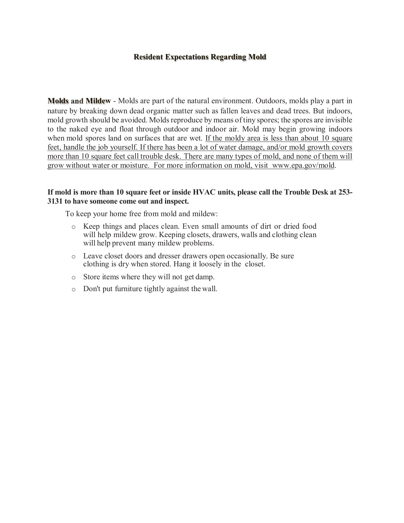# **Resident Expectations Regarding Mold**

**Molds Mildew** - Molds are part of the natural environment. Outdoors, molds play a part in nature by breaking down dead organic matter such as fallen leaves and dead trees. But indoors, mold growth should be avoided. Molds reproduce by means of tiny spores; the spores are invisible to the naked eye and float through outdoor and indoor air. Mold may begin growing indoors when mold spores land on surfaces that are wet. If the moldy area is less than about 10 square feet, handle the job yourself. If there has been a lot of water damage, and/or mold growth covers more than 10 square feet call trouble desk. There are many types of mold, and none of them will grow without water or moisture. For more information on mold, visit [www.epa.gov/mold.](http://www.epa.gov/mold)

## **If mold is more than 10 square feet or inside HVAC units, please call the Trouble Desk at 253- 3131 to have someone come out and inspect.**

To keep your home free from mold and mildew:

- o Keep things and places clean. Even small amounts of dirt or dried food will help mildew grow. Keeping closets, drawers, walls and clothing clean will help prevent many mildew problems.
- o Leave closet doors and dresser drawers open occasionally. Be sure clothing is dry when stored. Hang it loosely in the closet.
- o Store items where they will not get damp.
- o Don't put furniture tightly against the wall.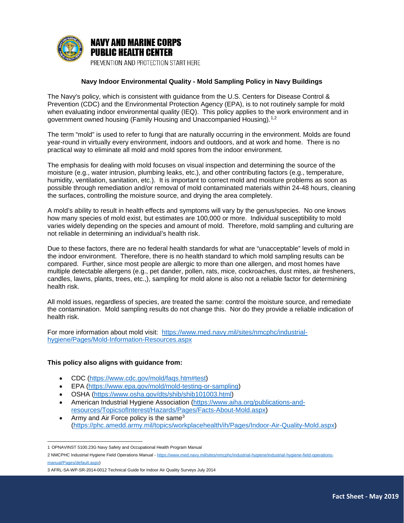

#### **Navy Indoor Environmental Quality - Mold Sampling Policy in Navy Buildings**

The Navy's policy, which is consistent with guidance from the U.S. Centers for Disease Control & Prevention (CDC) and the Environmental Protection Agency (EPA), is to not routinely sample for mold when evaluating indoor environmental quality (IEQ). This policy applies to the work environment and in government owned housing (Family Housing and Unaccompanied Housing).<sup>[1](#page-1-0),2</sup>

The term "mold" is used to refer to fungi that are naturally occurring in the environment. Molds are found year-round in virtually every environment, indoors and outdoors, and at work and home. There is no practical way to eliminate all mold and mold spores from the indoor environment.

The emphasis for dealing with mold focuses on visual inspection and determining the source of the moisture (e.g., water intrusion, plumbing leaks, etc.), and other contributing factors (e.g., temperature, humidity, ventilation, sanitation, etc.). It is important to correct mold and moisture problems as soon as possible through remediation and/or removal of mold contaminated materials within 24-48 hours, cleaning the surfaces, controlling the moisture source, and drying the area completely.

A mold's ability to result in health effects and symptoms will vary by the genus/species. No one knows how many species of mold exist, but estimates are 100,000 or more. Individual susceptibility to mold varies widely depending on the species and amount of mold. Therefore, mold sampling and culturing are not reliable in determining an individual's health risk.

Due to these factors, there are no federal health standards for what are "unacceptable" levels of mold in the indoor environment. Therefore, there is no health standard to which mold sampling results can be compared. Further, since most people are allergic to more than one allergen, and most homes have multiple detectable allergens (e.g., pet dander, pollen, rats, mice, cockroaches, dust mites, air fresheners, candles, lawns, plants, trees, etc.,), sampling for mold alone is also not a reliable factor for determining health risk.

All mold issues, regardless of species, are treated the same: control the moisture source, and remediate the contamination. Mold sampling results do not change this. Nor do they provide a reliable indication of health risk.

For more information about mold visit: [https://www.med.navy.mil/sites/nmcphc/industrial](https://www.med.navy.mil/sites/nmcphc/industrial-hygiene/Pages/Mold-Information-Resources.aspx)[hygiene/Pages/Mold-Information-Resources.aspx](https://www.med.navy.mil/sites/nmcphc/industrial-hygiene/Pages/Mold-Information-Resources.aspx)

#### **This policy also aligns with guidance from:**

- CDC [\(https://www.cdc.gov/mold/faqs.htm#test\)](https://www.cdc.gov/mold/faqs.htm#test)
- EPA [\(https://www.epa.gov/mold/mold-testing-or-sampling\)](https://www.epa.gov/mold/mold-testing-or-sampling)
- OSHA [\(https://www.osha.gov/dts/shib/shib101003.html\)](https://www.osha.gov/dts/shib/shib101003.html)
- American Industrial Hygiene Association [\(https://www.aiha.org/publications-and](https://www.aiha.org/publications-and-resources/TopicsofInterest/Hazards/Pages/Facts-About-Mold.aspx)[resources/TopicsofInterest/Hazards/Pages/Facts-About-Mold.aspx\)](https://www.aiha.org/publications-and-resources/TopicsofInterest/Hazards/Pages/Facts-About-Mold.aspx)
- Army and Air Force policy is the same<sup>3</sup> [\(https://phc.amedd.army.mil/topics/workplacehealth/ih/Pages/Indoor-Air-Quality-Mold.aspx\)](https://phc.amedd.army.mil/topics/workplacehealth/ih/Pages/Indoor-Air-Quality-Mold.aspx)

l 1 OPNAVINST 5100.23G Navy Safety and Occupational Health Program Manual

<span id="page-1-0"></span><sup>2</sup> NMCPHC Industrial Hygiene Field Operations Manual - [https://www.med.navy.mil/sites/nmcphc/industrial-hygiene/industrial-hygiene-field-operations](https://www.med.navy.mil/sites/nmcphc/industrial-hygiene/industrial-hygiene-field-operations-manual/Pages/default.aspx)[manual/Pages/default.aspx\)](https://www.med.navy.mil/sites/nmcphc/industrial-hygiene/industrial-hygiene-field-operations-manual/Pages/default.aspx)

<sup>3</sup> AFRL-SA-WP-SR-2014-0012 Technical Guide for Indoor Air Quality Surveys July 2014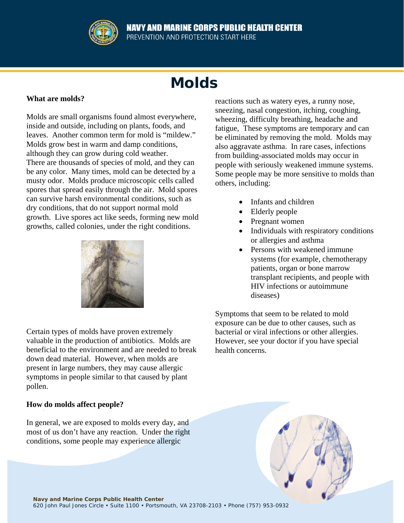

# **Molds**

# **What are molds?**

Molds are small organisms found almost everywhere, inside and outside, including on plants, foods, and leaves. Another common term for mold is "mildew." Molds grow best in warm and damp conditions, although they can grow during cold weather. There are thousands of species of mold, and they can be any color. Many times, mold can be detected by a musty odor. Molds produce microscopic cells called spores that spread easily through the air. Mold spores can survive harsh environmental conditions, such as dry conditions, that do not support normal mold growth. Live spores act like seeds, forming new mold growths, called colonies, under the right conditions.



Certain types of molds have proven extremely valuable in the production of antibiotics. Molds are beneficial to the environment and are needed to break down dead material. However, when molds are present in large numbers, they may cause allergic symptoms in people similar to that caused by plant pollen.

# **How do molds affect people?**

In general, we are exposed to molds every day, and most of us don't have any reaction. Under the right conditions, some people may experience allergic

reactions such as watery eyes, a runny nose, sneezing, nasal congestion, itching, coughing, wheezing, difficulty breathing, headache and fatigue, These symptoms are temporary and can be eliminated by removing the mold. Molds may also aggravate asthma. In rare cases, infections from building-associated molds may occur in people with seriously weakened immune systems. Some people may be more sensitive to molds than others, including:

- Infants and children
- Elderly people
- Pregnant women
- Individuals with respiratory conditions or allergies and asthma
- Persons with weakened immune systems (for example, chemotherapy patients, organ or bone marrow transplant recipients, and people with HIV infections or autoimmune diseases)

Symptoms that seem to be related to mold exposure can be due to other causes, such as bacterial or viral infections or other allergies. However, see your doctor if you have special health concerns.